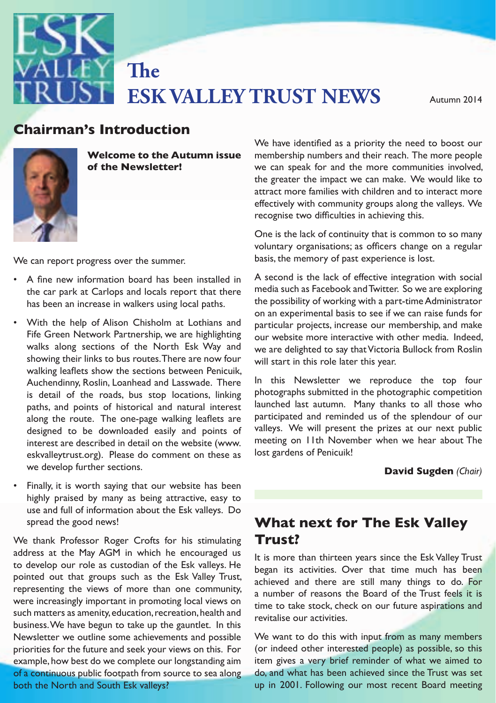

**ESK VALLEY TRUST NEWS** Autumn 2014 **The** 

## **Chairman's Introduction**



**Welcome to the Autumn issue of the Newsletter!**

We can report progress over the summer. basis, the memory of past experience

- A fine new information board has been installed in the car park at Carlops and locals report that there has been an increase in walkers using local paths.
- Fife Green Network Partnership, we are highlighting will start in this role facer this year.<br>walking leaflets show the sections between Penicuik, Auchendinny, Roslin, Loanhead and Lasswade. There along the route. The one-page walking leaflets are eskvalleytrust.org). Please do comment on these as a lost gardens of Penicuik!<br>eskvalleytrust.org). Please do comment on these as a lost gardens of Penicuik! • With the help of Alison Chisholm at Lothians and walks along sections of the North Esk Way and showing their links to bus routes.There are now four is detail of the roads, bus stop locations, linking paths, and points of historical and natural interest designed to be downloaded easily and points of interest are described in detail on the website (www. we develop further sections.
- Finally, it is worth saying that our website has been<br>
Finally, it is worth saying that our website has been memy praised by many as being attractive, easy to<br>use and full of information about the Esk valleys. Do highly praised by many as being attractive, easy to spread the good news!

to develop our role as custodian of the Esk valleys. He began its activities. Over that time much has been representing the views of more than one community, a number of represent the Poet of the Trust fools it is were increasingly important in promoting local views on Newsletter we outline some achievements and possible VVe want to do this priorities for the future and seek your views on this. For (or indeed other interested people) as possible, so this<br> both the North and South Esk valleys? We thank Professor Roger Crofts for his stimulating address at the May AGM in which he encouraged us to develop our role as custodian of the Esk valleys. He pointed out that groups such as the Esk Valley Trust, such matters as amenity, education, recreation, health and business.We have begun to take up the gauntlet. In this example, how best do we complete our longstanding aim of a continuous public footpath from source to sea along

**FION**<br>We have identified as a priority the need to boost our membership numbers and their reach. The more people we can speak for and the more communities involved, the greater the impact we can make. We would like to attract more families with children and to interact more effectively with community groups along the valleys. We recognise two difficulties in achieving this.

voluntary organisations; as officers change on a regular One is the lack of continuity that is common to so many basis, the memory of past experience is lost.

e car park at Carlops and locals report that there the discussion as racebook and fwitter. So we are exploring<br>as been an increase in walkers using local paths, the possibility of working with a part-time Administrator on an experimental basis to see if we can raise funds for ralks along sections of the North Esk Way and we are delighted to say thatVictoria Bullock from Roslin A second is the lack of effective integration with social media such as Facebook andTwitter. So we are exploring particular projects, increase our membership, and make our website more interactive with other media. Indeed, will start in this role later this year.

aths, and points of historical and natural interest launched last autumn. Many thanks to all those who terest are described in detail on the website (www. meeting on 11th November when we hear about The In this Newsletter we reproduce the top four photographs submitted in the photographic competition participated and reminded us of the splendour of our valleys. We will present the prizes at our next public lost gardens of Penicuik!

#### **David Sugden** *(Chair)*

# **What next for The Esk Valley Trust?**

It is more than thirteen years since the Esk Valley Trust achieved and there are still many things to do. For a number of reasons the Board of the Trust feels it is time to take stock, check on our future aspirations and revitalise our activities.

uous public footpath from source to sea along do, and what has been achieved since the Trust was set We want to do this with input from as many members (or indeed other interested people) as possible, so this item gives a very brief reminder of what we aimed to up in 2001. Following our most recent Board meeting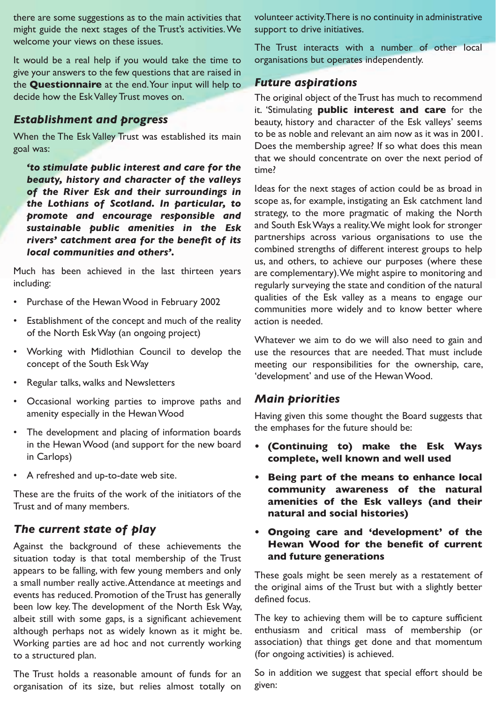there are some suggestions as to the main activities that might guide the next stages of the Trust's activities.We welcome your views on these issues.

It would be a real help if you would take the time to give your answers to the few questions that are raised in the **Questionnaire** at the end.Your input will help to decide how the EskValley Trust moves on.

#### *Establishment and progress*

When the The Esk Valley Trust was established its main goal was:

*'to stimulate public interest and care for the beauty, history and character of the valleys of the River Esk and their surroundings in the Lothians of Scotland. In particular, to promote and encourage responsible and sustainable public amenities in the Esk rivers' catchment area for the benefit of its local communities and others'.*

Much has been achieved in the last thirteen years including:

- Purchase of the Hewan Wood in February 2002
- • Establishment of the concept and much of the reality of the North EskWay (an ongoing project)
- • Working with Midlothian Council to develop the concept of the South EskWay
- • Regular talks, walks and Newsletters
- • Occasional working parties to improve paths and amenity especially in the HewanWood
- The development and placing of information boards in the HewanWood (and support for the new board in Carlops)
- • A refreshed and up-to-date web site.

These are the fruits of the work of the initiators of the Trust and of many members.

### *The current state of play*

Against the background of these achievements the situation today is that total membership of the Trust appears to be falling, with few young members and only a small number really active.Attendance at meetings and events has reduced. Promotion of theTrust has generally been low key.The development of the North Esk Way, albeit still with some gaps, is a significant achievement although perhaps not as widely known as it might be. Working parties are ad hoc and not currently working to a structured plan.

The Trust holds a reasonable amount of funds for an organisation of its size, but relies almost totally on volunteer activity.There is no continuity in administrative support to drive initiatives.

The Trust interacts with a number of other local organisations but operates independently.

### *Future aspirations*

The original object of the Trust has much to recommend it. 'Stimulating **public interest and care** for the beauty, history and character of the Esk valleys' seems to be as noble and relevant an aim now as it was in 2001. Does the membership agree? If so what does this mean that we should concentrate on over the next period of time?

Ideas for the next stages of action could be as broad in scope as, for example, instigating an Esk catchment land strategy, to the more pragmatic of making the North and South EskWays a reality.We might look for stronger partnerships across various organisations to use the combined strengths of different interest groups to help us, and others, to achieve our purposes (where these are complementary).We might aspire to monitoring and regularly surveying the state and condition of the natural qualities of the Esk valley as a means to engage our communities more widely and to know better where action is needed.

Whatever we aim to do we will also need to gain and use the resources that are needed. That must include meeting our responsibilities for the ownership, care, 'development' and use of the Hewan Wood.

#### *Main priorities*

Having given this some thought the Board suggests that the emphases for the future should be:

- **• (Continuing to) make the Esk Ways complete, well known and well used**
- **• Being part of the means to enhance local community awareness of the natural amenities of the Esk valleys (and their natural and social histories)**
- **• Ongoing care and 'development' of the Hewan Wood for the benefit of current and future generations**

These goals might be seen merely as a restatement of the original aims of the Trust but with a slightly better defined focus.

The key to achieving them will be to capture sufficient enthusiasm and critical mass of membership (or association) that things get done and that momentum (for ongoing activities) is achieved.

So in addition we suggest that special effort should be given: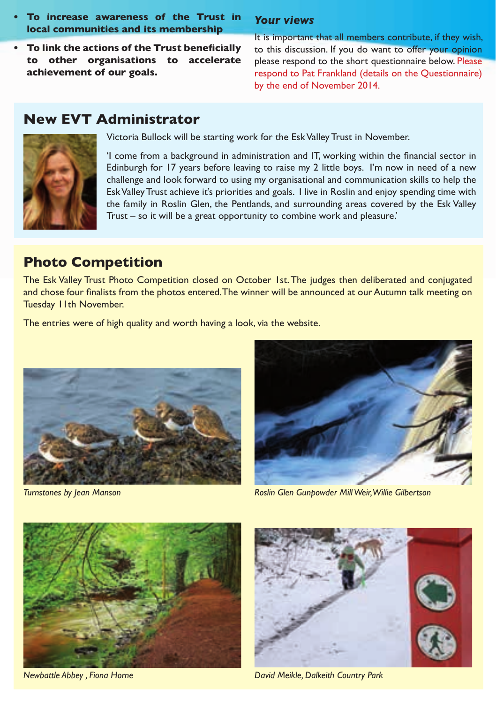- **• To increase awareness of the Trust in local communities and its membership**
- **• To link the actions of the Trust beneficially to other organisations to accelerate achievement of our goals.**

### *Your views*

It is important that all members contribute, if they wish, to this discussion. If you do want to offer your opinion please respond to the short questionnaire below. Please respond to Pat Frankland (details on the Questionnaire) by the end of November 2014.

## **New EVT Administrator**



Victoria Bullock will be starting work for the EskValley Trust in November.

'I come from a background in administration and IT, working within the financial sector in Edinburgh for 17 years before leaving to raise my 2 little boys. I'm now in need of a new challenge and look forward to using my organisational and communication skills to help the EskValleyTrust achieve it's priorities and goals. I live in Roslin and enjoy spending time with the family in Roslin Glen, the Pentlands, and surrounding areas covered by the Esk Valley Trust – so it will be a great opportunity to combine work and pleasure.'

## **Photo Competition**

The Esk Valley Trust Photo Competition closed on October 1st.The judges then deliberated and conjugated and chose four finalists from the photos entered. The winner will be announced at our Autumn talk meeting on Tuesday 11th November.

The entries were of high quality and worth having a look, via the website.





*Turnstones by Jean Manson Roslin Glen Gunpowder Mill Weir, Willie Gilbertson*



*Newbattle Abbey , Fiona Horne* 



*David Meikle, Dalkeith Country Park*